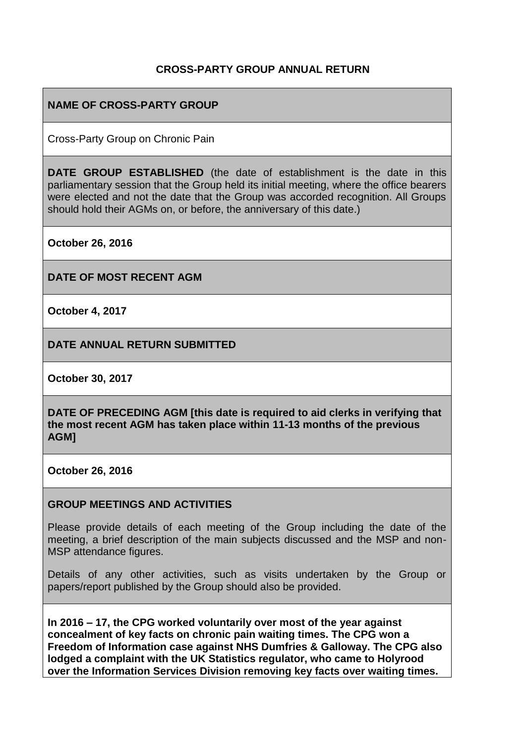## **CROSS-PARTY GROUP ANNUAL RETURN**

## **NAME OF CROSS-PARTY GROUP**

Cross-Party Group on Chronic Pain

**DATE GROUP ESTABLISHED** (the date of establishment is the date in this parliamentary session that the Group held its initial meeting, where the office bearers were elected and not the date that the Group was accorded recognition. All Groups should hold their AGMs on, or before, the anniversary of this date.)

**October 26, 2016**

**DATE OF MOST RECENT AGM**

**October 4, 2017**

**DATE ANNUAL RETURN SUBMITTED**

**October 30, 2017**

**DATE OF PRECEDING AGM [this date is required to aid clerks in verifying that the most recent AGM has taken place within 11-13 months of the previous AGM]**

**October 26, 2016**

#### **GROUP MEETINGS AND ACTIVITIES**

Please provide details of each meeting of the Group including the date of the meeting, a brief description of the main subjects discussed and the MSP and non-MSP attendance figures.

Details of any other activities, such as visits undertaken by the Group or papers/report published by the Group should also be provided.

**In 2016 – 17, the CPG worked voluntarily over most of the year against concealment of key facts on chronic pain waiting times. The CPG won a Freedom of Information case against NHS Dumfries & Galloway. The CPG also lodged a complaint with the UK Statistics regulator, who came to Holyrood over the Information Services Division removing key facts over waiting times.**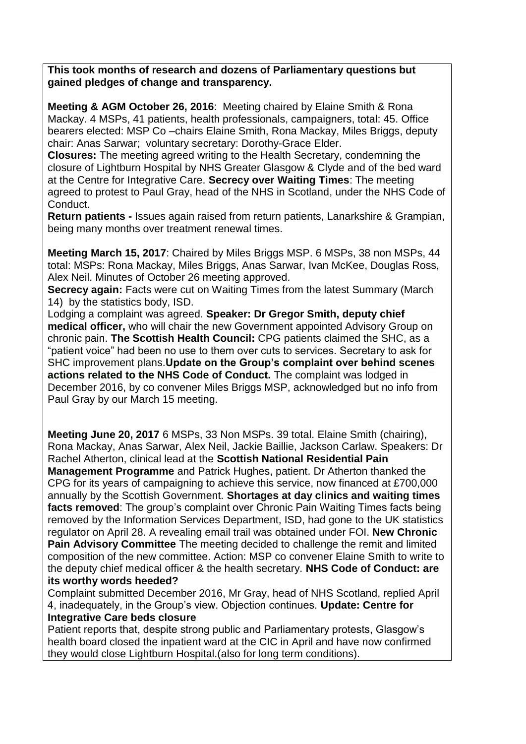**This took months of research and dozens of Parliamentary questions but gained pledges of change and transparency.**

**Meeting & AGM October 26, 2016**: Meeting chaired by Elaine Smith & Rona Mackay. 4 MSPs, 41 patients, health professionals, campaigners, total: 45. Office bearers elected: MSP Co –chairs Elaine Smith, Rona Mackay, Miles Briggs, deputy chair: Anas Sarwar; voluntary secretary: Dorothy-Grace Elder.

**Closures:** The meeting agreed writing to the Health Secretary, condemning the closure of Lightburn Hospital by NHS Greater Glasgow & Clyde and of the bed ward at the Centre for Integrative Care. **Secrecy over Waiting Times**: The meeting agreed to protest to Paul Gray, head of the NHS in Scotland, under the NHS Code of Conduct.

**Return patients -** Issues again raised from return patients, Lanarkshire & Grampian, being many months over treatment renewal times.

**Meeting March 15, 2017**: Chaired by Miles Briggs MSP. 6 MSPs, 38 non MSPs, 44 total: MSPs: Rona Mackay, Miles Briggs, Anas Sarwar, Ivan McKee, Douglas Ross, Alex Neil. Minutes of October 26 meeting approved.

**Secrecy again:** Facts were cut on Waiting Times from the latest Summary (March 14) by the statistics body, ISD.

Lodging a complaint was agreed. **Speaker: Dr Gregor Smith, deputy chief medical officer,** who will chair the new Government appointed Advisory Group on chronic pain. **The Scottish Health Council:** CPG patients claimed the SHC, as a "patient voice" had been no use to them over cuts to services. Secretary to ask for SHC improvement plans.**Update on the Group's complaint over behind scenes actions related to the NHS Code of Conduct.** The complaint was lodged in December 2016, by co convener Miles Briggs MSP, acknowledged but no info from Paul Gray by our March 15 meeting.

**Meeting June 20, 2017** 6 MSPs, 33 Non MSPs. 39 total. Elaine Smith (chairing), Rona Mackay, Anas Sarwar, Alex Neil, Jackie Baillie, Jackson Carlaw. Speakers: Dr Rachel Atherton, clinical lead at the **Scottish National Residential Pain** 

**Management Programme** and Patrick Hughes, patient. Dr Atherton thanked the CPG for its years of campaigning to achieve this service, now financed at £700,000 annually by the Scottish Government. **Shortages at day clinics and waiting times facts removed:** The group's complaint over Chronic Pain Waiting Times facts being removed by the Information Services Department, ISD, had gone to the UK statistics regulator on April 28. A revealing email trail was obtained under FOI. **New Chronic Pain Advisory Committee** The meeting decided to challenge the remit and limited composition of the new committee. Action: MSP co convener Elaine Smith to write to the deputy chief medical officer & the health secretary. **NHS Code of Conduct: are its worthy words heeded?**

Complaint submitted December 2016, Mr Gray, head of NHS Scotland, replied April 4, inadequately, in the Group's view. Objection continues. **Update: Centre for Integrative Care beds closure**

Patient reports that, despite strong public and Parliamentary protests, Glasgow's health board closed the inpatient ward at the CIC in April and have now confirmed they would close Lightburn Hospital.(also for long term conditions).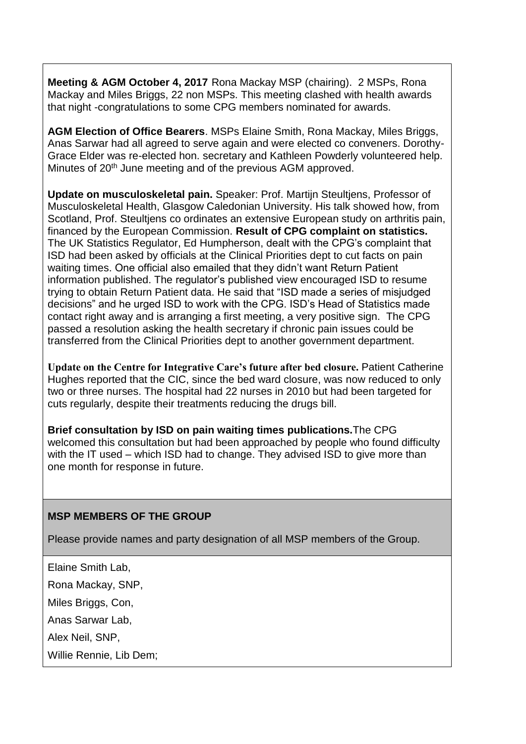**Meeting & AGM October 4, 2017** Rona Mackay MSP (chairing). 2 MSPs, Rona Mackay and Miles Briggs, 22 non MSPs. This meeting clashed with health awards that night -congratulations to some CPG members nominated for awards.

**AGM Election of Office Bearers**. MSPs Elaine Smith, Rona Mackay, Miles Briggs, Anas Sarwar had all agreed to serve again and were elected co conveners. Dorothy-Grace Elder was re-elected hon. secretary and Kathleen Powderly volunteered help. Minutes of 20<sup>th</sup> June meeting and of the previous AGM approved.

**Update on musculoskeletal pain.** Speaker: Prof. Martijn Steultjens, Professor of Musculoskeletal Health, Glasgow Caledonian University. His talk showed how, from Scotland, Prof. Steultjens co ordinates an extensive European study on arthritis pain, financed by the European Commission. **Result of CPG complaint on statistics.**  The UK Statistics Regulator, Ed Humpherson, dealt with the CPG's complaint that ISD had been asked by officials at the Clinical Priorities dept to cut facts on pain waiting times. One official also emailed that they didn't want Return Patient information published. The regulator's published view encouraged ISD to resume trying to obtain Return Patient data. He said that "ISD made a series of misjudged decisions" and he urged ISD to work with the CPG. ISD's Head of Statistics made contact right away and is arranging a first meeting, a very positive sign. The CPG passed a resolution asking the health secretary if chronic pain issues could be transferred from the Clinical Priorities dept to another government department.

**Update on the Centre for Integrative Care's future after bed closure.** Patient Catherine Hughes reported that the CIC, since the bed ward closure, was now reduced to only two or three nurses. The hospital had 22 nurses in 2010 but had been targeted for cuts regularly, despite their treatments reducing the drugs bill.

**Brief consultation by ISD on pain waiting times publications.**The CPG welcomed this consultation but had been approached by people who found difficulty with the IT used – which ISD had to change. They advised ISD to give more than one month for response in future.

#### **MSP MEMBERS OF THE GROUP**

Please provide names and party designation of all MSP members of the Group.

Elaine Smith Lab,

Rona Mackay, SNP,

Miles Briggs, Con,

Anas Sarwar Lab,

Alex Neil, SNP,

Willie Rennie, Lib Dem;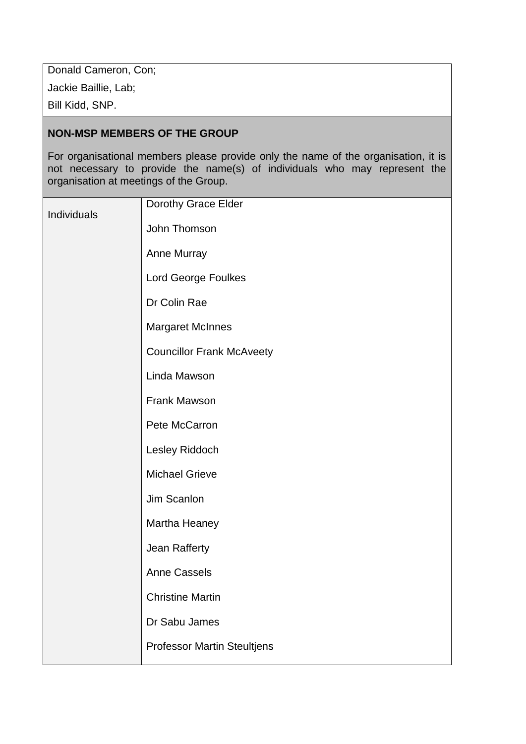Donald Cameron, Con;

Jackie Baillie, Lab;

Bill Kidd, SNP.

# **NON-MSP MEMBERS OF THE GROUP**

For organisational members please provide only the name of the organisation, it is not necessary to provide the name(s) of individuals who may represent the organisation at meetings of the Group.

|             | Dorothy Grace Elder                |
|-------------|------------------------------------|
| Individuals | John Thomson                       |
|             | Anne Murray                        |
|             | Lord George Foulkes                |
|             | Dr Colin Rae                       |
|             | <b>Margaret McInnes</b>            |
|             | <b>Councillor Frank McAveety</b>   |
|             | Linda Mawson                       |
|             | Frank Mawson                       |
|             | Pete McCarron                      |
|             | Lesley Riddoch                     |
|             | <b>Michael Grieve</b>              |
|             | Jim Scanlon                        |
|             | Martha Heaney                      |
|             | Jean Rafferty                      |
|             | <b>Anne Cassels</b>                |
|             | <b>Christine Martin</b>            |
|             | Dr Sabu James                      |
|             | <b>Professor Martin Steultjens</b> |
|             |                                    |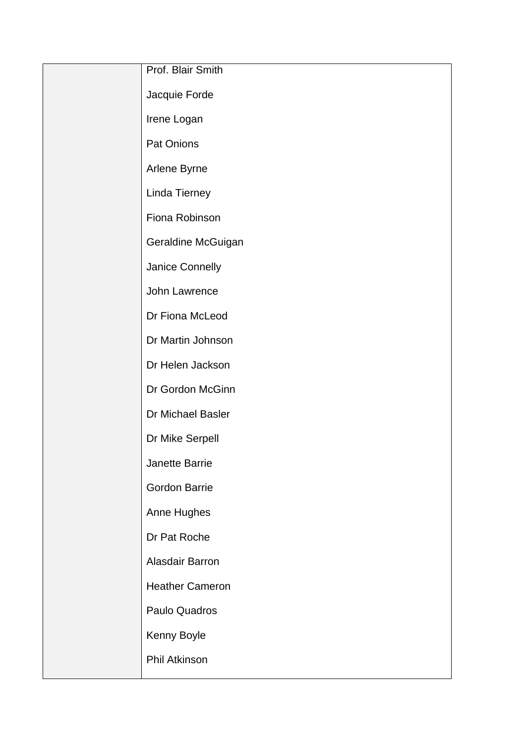| Prof. Blair Smith      |
|------------------------|
| Jacquie Forde          |
| Irene Logan            |
| Pat Onions             |
| Arlene Byrne           |
| Linda Tierney          |
| Fiona Robinson         |
| Geraldine McGuigan     |
| Janice Connelly        |
| John Lawrence          |
| Dr Fiona McLeod        |
| Dr Martin Johnson      |
| Dr Helen Jackson       |
| Dr Gordon McGinn       |
| Dr Michael Basler      |
| Dr Mike Serpell        |
| Janette Barrie         |
| <b>Gordon Barrie</b>   |
| Anne Hughes            |
| Dr Pat Roche           |
| Alasdair Barron        |
| <b>Heather Cameron</b> |
| Paulo Quadros          |
| Kenny Boyle            |
| Phil Atkinson          |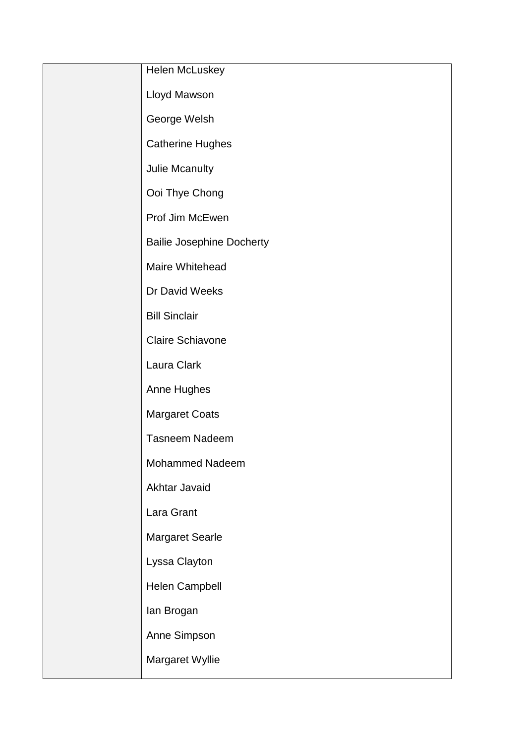| Helen McLuskey                   |
|----------------------------------|
| Lloyd Mawson                     |
| George Welsh                     |
| <b>Catherine Hughes</b>          |
| Julie Mcanulty                   |
| Ooi Thye Chong                   |
| Prof Jim McEwen                  |
| <b>Bailie Josephine Docherty</b> |
| Maire Whitehead                  |
| Dr David Weeks                   |
| <b>Bill Sinclair</b>             |
| Claire Schiavone                 |
| Laura Clark                      |
| Anne Hughes                      |
| <b>Margaret Coats</b>            |
| <b>Tasneem Nadeem</b>            |
| Mohammed Nadeem                  |
| Akhtar Javaid                    |
| Lara Grant                       |
| <b>Margaret Searle</b>           |
| Lyssa Clayton                    |
| Helen Campbell                   |
| lan Brogan                       |
| Anne Simpson                     |
| Margaret Wyllie                  |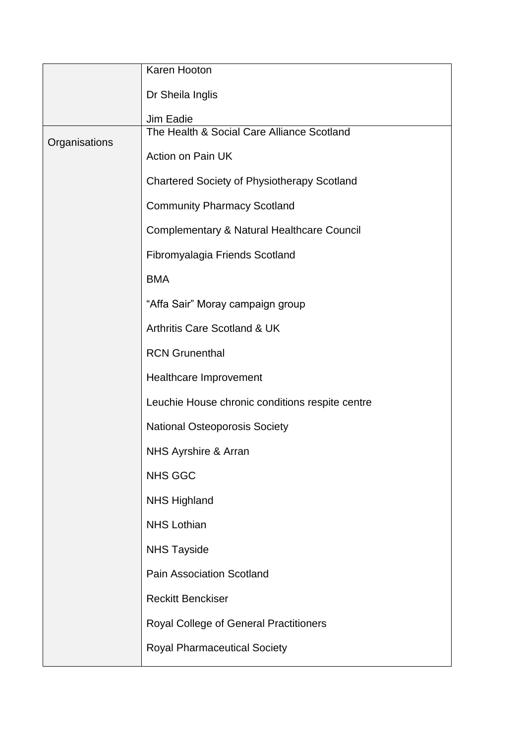|               | Karen Hooton                                          |
|---------------|-------------------------------------------------------|
|               | Dr Sheila Inglis                                      |
|               | Jim Eadie                                             |
| Organisations | The Health & Social Care Alliance Scotland            |
|               | <b>Action on Pain UK</b>                              |
|               | <b>Chartered Society of Physiotherapy Scotland</b>    |
|               | <b>Community Pharmacy Scotland</b>                    |
|               | <b>Complementary &amp; Natural Healthcare Council</b> |
|               | Fibromyalagia Friends Scotland                        |
|               | <b>BMA</b>                                            |
|               | "Affa Sair" Moray campaign group                      |
|               | <b>Arthritis Care Scotland &amp; UK</b>               |
|               | <b>RCN Grunenthal</b>                                 |
|               | Healthcare Improvement                                |
|               | Leuchie House chronic conditions respite centre       |
|               | <b>National Osteoporosis Society</b>                  |
|               | NHS Ayrshire & Arran                                  |
|               | <b>NHS GGC</b>                                        |
|               | <b>NHS Highland</b>                                   |
|               | <b>NHS Lothian</b>                                    |
|               | <b>NHS Tayside</b>                                    |
|               | <b>Pain Association Scotland</b>                      |
|               | <b>Reckitt Benckiser</b>                              |
|               | <b>Royal College of General Practitioners</b>         |
|               | <b>Royal Pharmaceutical Society</b>                   |
|               |                                                       |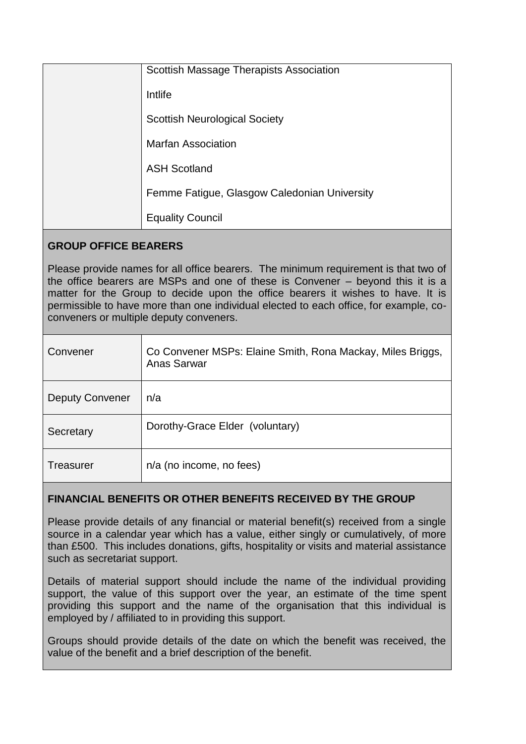| Scottish Massage Therapists Association      |
|----------------------------------------------|
| Intlife                                      |
| <b>Scottish Neurological Society</b>         |
| <b>Marfan Association</b>                    |
| <b>ASH Scotland</b>                          |
| Femme Fatigue, Glasgow Caledonian University |
| <b>Equality Council</b>                      |

# **GROUP OFFICE BEARERS**

Please provide names for all office bearers. The minimum requirement is that two of the office bearers are MSPs and one of these is Convener – beyond this it is a matter for the Group to decide upon the office bearers it wishes to have. It is permissible to have more than one individual elected to each office, for example, coconveners or multiple deputy conveners.

| Convener               | Co Convener MSPs: Elaine Smith, Rona Mackay, Miles Briggs,<br>Anas Sarwar |
|------------------------|---------------------------------------------------------------------------|
| <b>Deputy Convener</b> | n/a                                                                       |
| Secretary              | Dorothy-Grace Elder (voluntary)                                           |
| Treasurer              | n/a (no income, no fees)                                                  |

# **FINANCIAL BENEFITS OR OTHER BENEFITS RECEIVED BY THE GROUP**

Please provide details of any financial or material benefit(s) received from a single source in a calendar year which has a value, either singly or cumulatively, of more than £500. This includes donations, gifts, hospitality or visits and material assistance such as secretariat support.

Details of material support should include the name of the individual providing support, the value of this support over the year, an estimate of the time spent providing this support and the name of the organisation that this individual is employed by / affiliated to in providing this support.

Groups should provide details of the date on which the benefit was received, the value of the benefit and a brief description of the benefit.